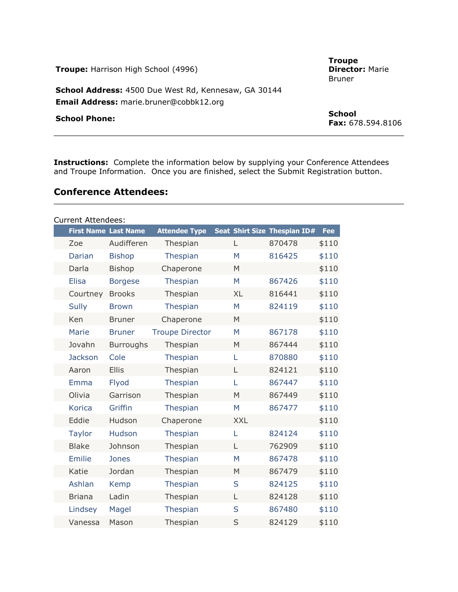| <b>Troupe:</b> Harrison High School (4996)                                                      | <b>Troupe</b><br><b>Director: Marie</b><br><b>Bruner</b> |
|-------------------------------------------------------------------------------------------------|----------------------------------------------------------|
| School Address: 4500 Due West Rd, Kennesaw, GA 30144<br>Email Address: marie.bruner@cobbk12.org |                                                          |
| <b>School Phone:</b>                                                                            | <b>School</b><br><b>Fax:</b> 678.594.8106                |

**Instructions:** Complete the information below by supplying your Conference Attendees and Troupe Information. Once you are finished, select the Submit Registration button.

### **Conference Attendees:**

| <b>Current Attendees:</b> |                             |                  |                        |  |            |                              |            |
|---------------------------|-----------------------------|------------------|------------------------|--|------------|------------------------------|------------|
|                           | <b>First Name Last Name</b> |                  | <b>Attendee Type</b>   |  |            | Seat Shirt Size Thespian ID# | <b>Fee</b> |
|                           | Zoe                         | Audifferen       | Thespian               |  | L          | 870478                       | \$110      |
|                           | Darian                      | <b>Bishop</b>    | Thespian               |  | M          | 816425                       | \$110      |
|                           | Darla                       | <b>Bishop</b>    | Chaperone              |  | M          |                              | \$110      |
|                           | <b>Elisa</b>                | <b>Borgese</b>   | Thespian               |  | M          | 867426                       | \$110      |
|                           | Courtney                    | <b>Brooks</b>    | Thespian               |  | <b>XL</b>  | 816441                       | \$110      |
|                           | <b>Sully</b>                | <b>Brown</b>     | Thespian               |  | M          | 824119                       | \$110      |
|                           | Ken                         | <b>Bruner</b>    | Chaperone              |  | M          |                              | \$110      |
|                           | Marie                       | <b>Bruner</b>    | <b>Troupe Director</b> |  | M          | 867178                       | \$110      |
|                           | Jovahn                      | <b>Burroughs</b> | Thespian               |  | M          | 867444                       | \$110      |
|                           | <b>Jackson</b>              | Cole             | Thespian               |  | L          | 870880                       | \$110      |
|                           | Aaron                       | <b>Ellis</b>     | Thespian               |  | L          | 824121                       | \$110      |
|                           | <b>Emma</b>                 | Flyod            | Thespian               |  | L          | 867447                       | \$110      |
|                           | Olivia                      | Garrison         | Thespian               |  | M          | 867449                       | \$110      |
|                           | <b>Korica</b>               | Griffin          | Thespian               |  | M          | 867477                       | \$110      |
|                           | Eddie                       | Hudson           | Chaperone              |  | <b>XXL</b> |                              | \$110      |
|                           | <b>Taylor</b>               | Hudson           | Thespian               |  | L          | 824124                       | \$110      |
|                           | <b>Blake</b>                | Johnson          | Thespian               |  | L          | 762909                       | \$110      |
|                           | <b>Emilie</b>               | <b>Jones</b>     | <b>Thespian</b>        |  | M          | 867478                       | \$110      |
|                           | Katie                       | Jordan           | Thespian               |  | M          | 867479                       | \$110      |
|                           | Ashlan                      | Kemp             | Thespian               |  | S          | 824125                       | \$110      |
|                           | <b>Briana</b>               | Ladin            | Thespian               |  | L          | 824128                       | \$110      |
|                           | Lindsey                     | Magel            | Thespian               |  | S          | 867480                       | \$110      |
|                           | Vanessa                     | Mason            | Thespian               |  | S          | 824129                       | \$110      |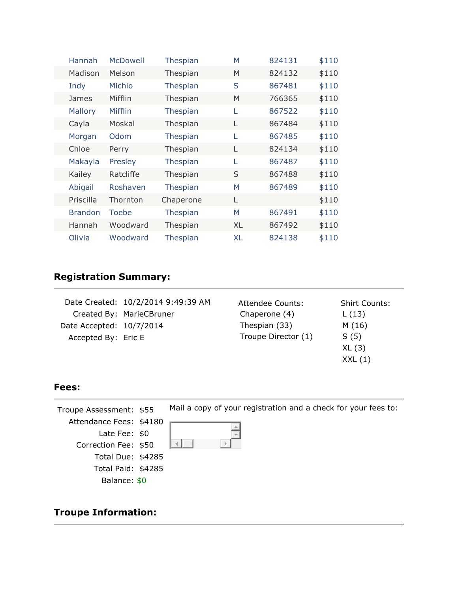|  | Hannah         | <b>McDowell</b> | Thespian        | M         | 824131 | \$110 |
|--|----------------|-----------------|-----------------|-----------|--------|-------|
|  | Madison        | Melson          | Thespian        | M         | 824132 | \$110 |
|  | Indy           | Michio          | Thespian        | S         | 867481 | \$110 |
|  | James          | Mifflin         | Thespian        | M         | 766365 | \$110 |
|  | <b>Mallory</b> | Mifflin         | Thespian        | L         | 867522 | \$110 |
|  | Cayla          | Moskal          | Thespian        | L         | 867484 | \$110 |
|  | Morgan         | Odom            | Thespian        | L         | 867485 | \$110 |
|  | Chloe          | Perry           | Thespian        | L         | 824134 | \$110 |
|  | Makayla        | Presley         | Thespian        | L         | 867487 | \$110 |
|  | Kailey         | Ratcliffe       | Thespian        | S         | 867488 | \$110 |
|  | Abigail        | Roshaven        | Thespian        | M         | 867489 | \$110 |
|  | Priscilla      | Thornton        | Chaperone       | L         |        | \$110 |
|  | <b>Brandon</b> | Toebe           | <b>Thespian</b> | M         | 867491 | \$110 |
|  | Hannah         | Woodward        | Thespian        | XL        | 867492 | \$110 |
|  | Olivia         | Woodward        | <b>Thespian</b> | <b>XL</b> | 824138 | \$110 |

# **Registration Summary:**

|                          | Date Created: 10/2/2014 9:49:39 AM | Attendee Counts:    | <b>Shirt Counts:</b> |
|--------------------------|------------------------------------|---------------------|----------------------|
|                          | Created By: MarieCBruner           | Chaperone (4)       | L(13)                |
| Date Accepted: 10/7/2014 |                                    | Thespian (33)       | M(16)                |
| Accepted By: Eric E      |                                    | Troupe Director (1) | S(5)                 |
|                          |                                    |                     | XL(3)                |
|                          |                                    |                     | XXL(1)               |

### **Fees:**

Mail a copy of your registration and a check for your fees to: Troupe Assessment: \$55 Attendance Fees: \$4180 Late Fee: \$0  $\lVert \cdot \rVert$ Correction Fee: \$50 Total Due: \$4285 Total Paid: \$4285 Balance: \$0

# **Troupe Information:**